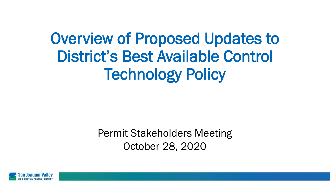# Overview of Proposed Updates to District's Best Available Control Technology Policy

Permit Stakeholders Meeting October 28, 2020

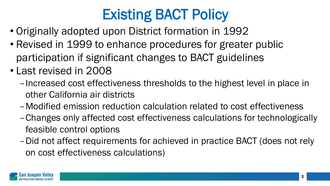## Existing BACT Policy

- Originally adopted upon District formation in 1992
- Revised in 1999 to enhance procedures for greater public participation if significant changes to BACT guidelines
- Last revised in 2008
	- –Increased cost effectiveness thresholds to the highest level in place in other California air districts
	- –Modified emission reduction calculation related to cost effectiveness
	- –Changes only affected cost effectiveness calculations for technologically feasible control options
	- –Did not affect requirements for achieved in practice BACT (does not rely on cost effectiveness calculations)

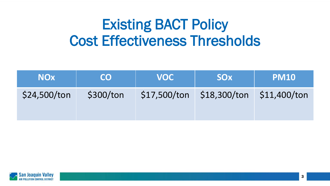## Existing BACT Policy Cost Effectiveness Thresholds

| <b>NOx</b>   | CO        | <b>VOC</b> | <b>SOx</b>                                   | <b>PM10</b> |
|--------------|-----------|------------|----------------------------------------------|-------------|
| \$24,500/ton | \$300/ton |            | $$17,500/t$ on $$18,300/t$ on $$11,400/t$ on |             |

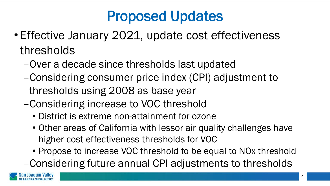## Proposed Updates

- Effective January 2021, update cost effectiveness thresholds
	- –Over a decade since thresholds last updated
	- –Considering consumer price index (CPI) adjustment to thresholds using 2008 as base year
	- –Considering increase to VOC threshold
		- District is extreme non-attainment for ozone
		- Other areas of California with lessor air quality challenges have higher cost effectiveness thresholds for VOC
		- Propose to increase VOC threshold to be equal to NOx threshold
	- –Considering future annual CPI adjustments to thresholds

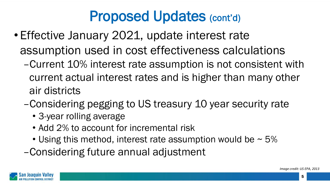#### Proposed Updates (cont'd)

- Effective January 2021, update interest rate assumption used in cost effectiveness calculations
	- –Current 10% interest rate assumption is not consistent with current actual interest rates and is higher than many other air districts
	- –Considering pegging to US treasury 10 year security rate
		- 3-year rolling average
		- Add 2% to account for incremental risk
		- Using this method, interest rate assumption would be  $\sim$  5%

–Considering future annual adjustment



5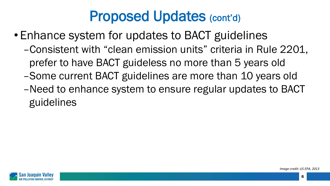#### Proposed Updates (cont'd)

- Enhance system for updates to BACT guidelines
	- –Consistent with "clean emission units" criteria in Rule 2201, prefer to have BACT guideless no more than 5 years old
	- –Some current BACT guidelines are more than 10 years old
	- –Need to enhance system to ensure regular updates to BACT guidelines



6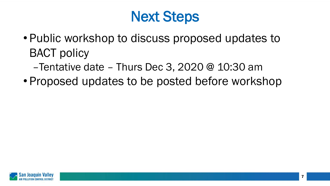### Next Steps

- Public workshop to discuss proposed updates to BACT policy
	- –Tentative date Thurs Dec 3, 2020 @ 10:30 am
- Proposed updates to be posted before workshop